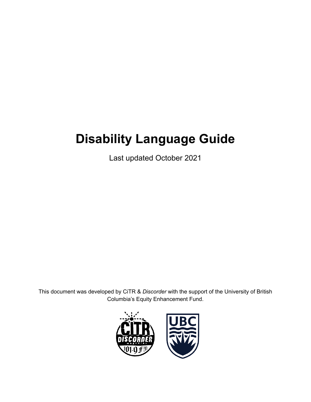# **Disability Language Guide**

Last updated October 2021

This document was developed by CiTR & *Discorder* with the support of the University of British Columbia's Equity Enhancement Fund.

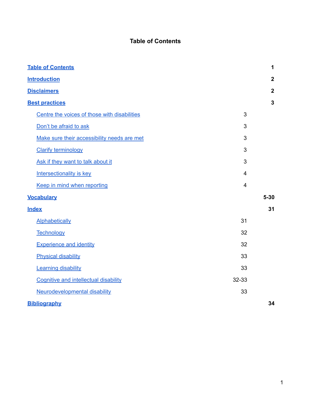# **Table of Contents**

<span id="page-1-0"></span>

| <b>Table of Contents</b>                     |                | $\mathbf 1$      |
|----------------------------------------------|----------------|------------------|
| <b>Introduction</b>                          |                | $\boldsymbol{2}$ |
| <b>Disclaimers</b>                           |                | $\mathbf{2}$     |
| <b>Best practices</b>                        |                | $\mathbf{3}$     |
| Centre the voices of those with disabilities | 3              |                  |
| Don't be afraid to ask                       | 3              |                  |
| Make sure their accessibility needs are met  | 3              |                  |
| <b>Clarify terminology</b>                   | 3              |                  |
| Ask if they want to talk about it            | 3              |                  |
| <b>Intersectionality is key</b>              | $\overline{4}$ |                  |
| Keep in mind when reporting                  | $\overline{4}$ |                  |
| <b>Vocabulary</b>                            |                | $5 - 30$         |
| <b>Index</b>                                 |                | 31               |
| <b>Alphabetically</b>                        | 31             |                  |
| Technology                                   | 32             |                  |
| <b>Experience and identity</b>               | 32             |                  |
| <b>Physical disability</b>                   | 33             |                  |
| <b>Learning disability</b>                   | 33             |                  |
| Cognitive and intellectual disability        | 32-33          |                  |
| Neurodevelopmental disability                | 33             |                  |
| <b>Bibliography</b>                          |                | 34               |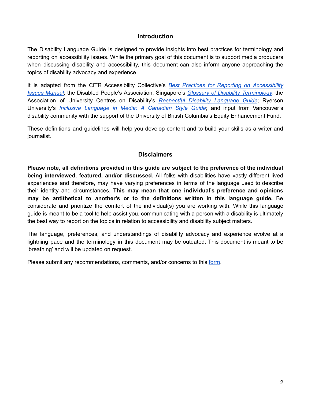### **Introduction**

<span id="page-2-0"></span>The Disability Language Guide is designed to provide insights into best practices for terminology and reporting on accessibility issues. While the primary goal of this document is to support media producers when discussing disability and accessibility, this document can also inform anyone approaching the topics of disability advocacy and experience.

It is adapted from the CiTR Accessibility Collective's *Best Practices for Reporting on [Accessibility](https://docs.google.com/document/d/1xGycf1zBbh_Gw4PO6zg03HxbFILL0vtBZO4gxMJbwoA/edit?usp=sharing) Issues [Manual](https://docs.google.com/document/d/1xGycf1zBbh_Gw4PO6zg03HxbFILL0vtBZO4gxMJbwoA/edit?usp=sharing)*; the Disabled People's Association, Singapore's *Glossary of Disability [Terminology](https://www.dpa.org.sg/wp-content/uploads/2015/10/DPA-Disability-Glossary-FINAL.pdf)*; the Association of University Centres on Disability's *[Respectful](https://www.aucd.org/docs/add/sa_summits/Language%20Doc.pdf) Disability Language Guide*; Ryerson University's *Inclusive [Language](http://www.humber.ca/makingaccessiblemedia/modules/01/transript/Inclusive_Language_Guide_Aug2017.pdf) in Media: A Canadian Style Guide*; and input from Vancouver's disability community with the support of the University of British Columbia's Equity Enhancement Fund.

These definitions and guidelines will help you develop content and to build your skills as a writer and journalist.

# **Disclaimers**

<span id="page-2-1"></span>**Please note, all definitions provided in this guide are subject to the preference of the individual being interviewed, featured, and/or discussed.** All folks with disabilities have vastly different lived experiences and therefore, may have varying preferences in terms of the language used to describe their identity and circumstances. **This may mean that one individual's preference and opinions may be antithetical to another's or to the definitions written in this language guide.** Be considerate and prioritize the comfort of the individual(s) you are working with. While this language guide is meant to be a tool to help assist you, communicating with a person with a disability is ultimately the best way to report on the topics in relation to accessibility and disability subject matters.

The language, preferences, and understandings of disability advocacy and experience evolve at a lightning pace and the terminology in this document may be outdated. This document is meant to be 'breathing' and will be updated on request.

<span id="page-2-2"></span>Please submit any recommendations, comments, and/or concerns to this [form](https://airtable.com/shrcojZgCm2rq4Ggh).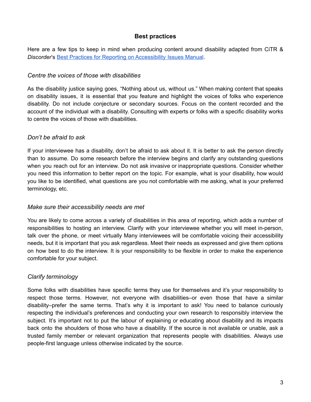# **Best practices**

Here are a few tips to keep in mind when producing content around disability adapted from CiTR & *Discorder*'s Best Practices for Reporting on [Accessibility](https://gdoc.pub/doc/e/2PACX-1vQ8f84-NlImDX2JOR0oeXLgbJj6Tk_ApbNMHA_Ll_0kxU9X2W3fzmQiugySJ6cBibbhSa9IhS4buJFz) Issues Manual.

### <span id="page-3-0"></span>*Centre the voices of those with disabilities*

As the disability justice saying goes, "Nothing about us, without us." When making content that speaks on disability issues, it is essential that you feature and highlight the voices of folks who experience disability. Do not include conjecture or secondary sources. Focus on the content recorded and the account of the individual with a disability. Consulting with experts or folks with a specific disability works to centre the voices of those with disabilities.

### <span id="page-3-1"></span>*Don't be afraid to ask*

If your interviewee has a disability, don't be afraid to ask about it. It is better to ask the person directly than to assume. Do some research before the interview begins and clarify any outstanding questions when you reach out for an interview. Do not ask invasive or inappropriate questions. Consider whether you need this information to better report on the topic. For example, what is your disability, how would you like to be identified, what questions are you not comfortable with me asking, what is your preferred terminology, etc.

### <span id="page-3-2"></span>*Make sure their accessibility needs are met*

You are likely to come across a variety of disabilities in this area of reporting, which adds a number of responsibilities to hosting an interview. Clarify with your interviewee whether you will meet in-person, talk over the phone, or meet virtually Many interviewees will be comfortable voicing their accessibility needs, but it is important that you ask regardless. Meet their needs as expressed and give them options on how best to do the interview. It is your responsibility to be flexible in order to make the experience comfortable for your subject.

# <span id="page-3-3"></span>*Clarify terminology*

Some folks with disabilities have specific terms they use for themselves and it's your responsibility to respect those terms. However, not everyone with disabilities–or even those that have a similar disability–prefer the same terms. That's why it is important to ask! You need to balance curiously respecting the individual's preferences and conducting your own research to responsibly interview the subject. It's important not to put the labour of explaining or educating about disability and its impacts back onto the shoulders of those who have a disability. If the source is not available or unable, ask a trusted family member or relevant organization that represents people with disabilities. Always use people-first language unless otherwise indicated by the source.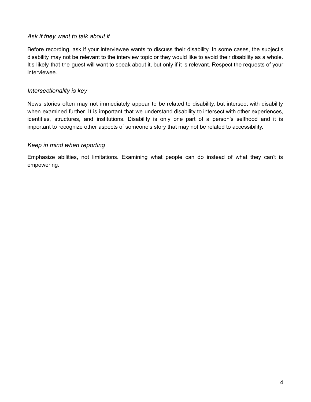### <span id="page-4-0"></span>*Ask if they want to talk about it*

Before recording, ask if your interviewee wants to discuss their disability. In some cases, the subject's disability may not be relevant to the interview topic or they would like to avoid their disability as a whole. It's likely that the guest will want to speak about it, but only if it is relevant. Respect the requests of your interviewee.

# <span id="page-4-1"></span>*Intersectionality is key*

News stories often may not immediately appear to be related to disability, but intersect with disability when examined further. It is important that we understand disability to intersect with other experiences, identities, structures, and institutions. Disability is only one part of a person's selfhood and it is important to recognize other aspects of someone's story that may not be related to accessibility.

### <span id="page-4-2"></span>*Keep in mind when reporting*

Emphasize abilities, not limitations. Examining what people can do instead of what they can't is empowering.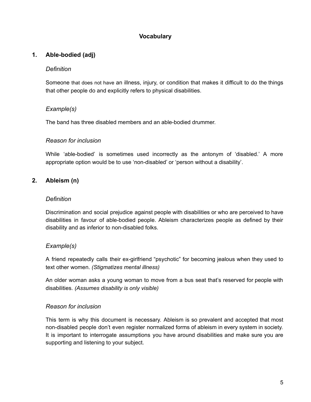# **Vocabulary**

### <span id="page-5-1"></span><span id="page-5-0"></span>**1. Able-bodied (adj)**

### *Definition*

Someone that does not have an illness, injury, or condition that makes it difficult to do the things that other people do and explicitly refers to physical disabilities.

### *Example(s)*

The band has three disabled members and an able-bodied drummer.

### *Reason for inclusion*

While 'able-bodied' is sometimes used incorrectly as the antonym of 'disabled.' A more appropriate option would be to use 'non-disabled' or 'person without a disability'.

# <span id="page-5-2"></span>**2. Ableism (n)**

#### *Definition*

Discrimination and social prejudice against people with disabilities or who are perceived to have disabilities in favour of able-bodied people. Ableism characterizes people as defined by their disability and as inferior to non-disabled folks.

### *Example(s)*

A friend repeatedly calls their ex-girlfriend "psychotic" for becoming jealous when they used to text other women. *(Stigmatizes mental illness)*

An older woman asks a young woman to move from a bus seat that's reserved for people with disabilities. *(Assumes disability is only visible)*

#### *Reason for inclusion*

This term is why this document is necessary. Ableism is so prevalent and accepted that most non-disabled people don't even register normalized forms of ableism in every system in society. It is important to interrogate assumptions you have around disabilities and make sure you are supporting and listening to your subject.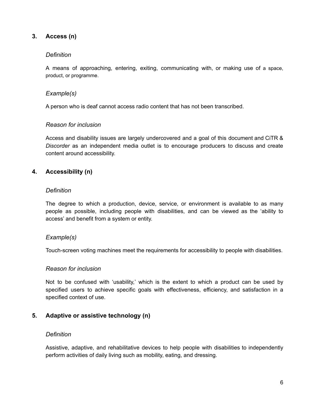# <span id="page-6-0"></span>**3. Access (n)**

### *Definition*

A means of approaching, entering, exiting, communicating with, or making use of a space, product, or programme.

### *Example(s)*

A person who is deaf cannot access radio content that has not been transcribed.

### *Reason for inclusion*

Access and disability issues are largely undercovered and a goal of this document and CiTR & *Discorder* as an independent media outlet is to encourage producers to discuss and create content around accessibility.

### <span id="page-6-1"></span>**4. Accessibility (n)**

#### *Definition*

The degree to which a production, device, service, or environment is available to as many people as possible, including people with disabilities, and can be viewed as the 'ability to access' and benefit from a system or entity.

### *Example(s)*

Touch-screen voting machines meet the requirements for accessibility to people with disabilities.

#### *Reason for inclusion*

Not to be confused with 'usability,' which is the extent to which a product can be used by specified users to achieve specific goals with effectiveness, efficiency, and satisfaction in a specified context of use.

### <span id="page-6-2"></span>**5. Adaptive or assistive technology (n)**

#### *Definition*

Assistive, adaptive, and rehabilitative devices to help people with disabilities to independently perform activities of daily living such as mobility, eating, and dressing.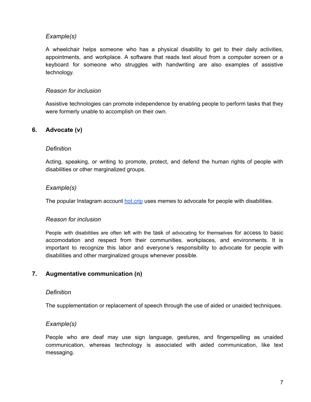A wheelchair helps someone who has a physical disability to get to their daily activities, appointments, and workplace. A software that reads text aloud from a computer screen or a keyboard for someone who struggles with handwriting are also examples of assistive technology.

### *Reason for inclusion*

Assistive technologies can promote independence by enabling people to perform tasks that they were formerly unable to accomplish on their own.

# <span id="page-7-0"></span>**6. Advocate (v)**

### *Definition*

Acting, speaking, or writing to promote, protect, and defend the human rights of people with disabilities or other marginalized groups.

### *Example(s)*

The popular Instagram account [hot.crip](https://www.instagram.com/hot.crip/) uses memes to advocate for people with disabilities.

#### *Reason for inclusion*

People with disabilities are often left with the task of advocating for themselves for access to basic accomodation and respect from their communities, workplaces, and environments. It is important to recognize this labor and everyone's responsibility to advocate for people with disabilities and other marginalized groups whenever possible.

### <span id="page-7-1"></span>**7. Augmentative communication (n)**

#### *Definition*

The supplementation or replacement of speech through the use of aided or unaided techniques.

#### *Example(s)*

People who are deaf may use sign language, gestures, and fingerspelling as unaided communication, whereas technology is associated with aided communication, like text messaging.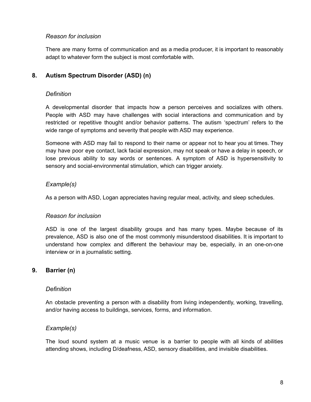### *Reason for inclusion*

There are many forms of communication and as a media producer, it is important to reasonably adapt to whatever form the subject is most comfortable with.

# <span id="page-8-0"></span>**8. Autism Spectrum Disorder (ASD) (n)**

### *Definition*

A developmental disorder that impacts how a person perceives and socializes with others. People with ASD may have challenges with social interactions and communication and by restricted or repetitive thought and/or behavior patterns. The autism 'spectrum' refers to the wide range of symptoms and severity that people with ASD may experience.

Someone with ASD may fail to respond to their name or appear not to hear you at times. They may have poor eye contact, lack facial expression, may not speak or have a delay in speech, or lose previous ability to say words or sentences. A symptom of ASD is hypersensitivity to sensory and social-environmental stimulation, which can trigger anxiety.

# *Example(s)*

As a person with ASD, Logan appreciates having regular meal, activity, and sleep schedules.

### *Reason for inclusion*

ASD is one of the largest disability groups and has many types. Maybe because of its prevalence, ASD is also one of the most commonly misunderstood disabilities. It is important to understand how complex and different the behaviour may be, especially, in an one-on-one interview or in a journalistic setting.

### <span id="page-8-1"></span>**9. Barrier (n)**

#### *Definition*

An obstacle preventing a person with a disability from living independently, working, travelling, and/or having access to buildings, services, forms, and information.

### *Example(s)*

The loud sound system at a music venue is a barrier to people with all kinds of abilities attending shows, including D/deafness, ASD, sensory disabilities, and invisible disabilities.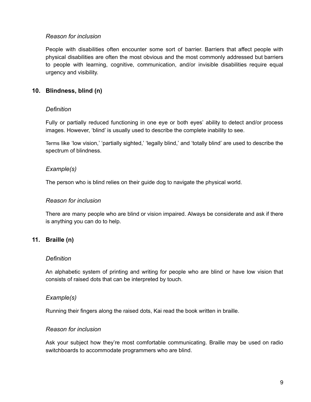### *Reason for inclusion*

People with disabilities often encounter some sort of barrier. Barriers that affect people with physical disabilities are often the most obvious and the most commonly addressed but barriers to people with learning, cognitive, communication, and/or invisible disabilities require equal urgency and visibility.

# <span id="page-9-0"></span>**10. Blindness, blind (n)**

### *Definition*

Fully or partially reduced functioning in one eye or both eyes' ability to detect and/or process images. However, 'blind' is usually used to describe the complete inability to see.

Terms like 'low vision,' 'partially sighted,' 'legally blind,' and 'totally blind' are used to describe the spectrum of blindness.

### *Example(s)*

The person who is blind relies on their guide dog to navigate the physical world.

#### *Reason for inclusion*

There are many people who are blind or vision impaired. Always be considerate and ask if there is anything you can do to help.

### <span id="page-9-1"></span>**11. Braille (n)**

#### *Definition*

An alphabetic system of printing and writing for people who are blind or have low vision that consists of raised dots that can be interpreted by touch.

#### *Example(s)*

Running their fingers along the raised dots, Kai read the book written in braille.

#### *Reason for inclusion*

Ask your subject how they're most comfortable communicating. Braille may be used on radio switchboards to accommodate programmers who are blind.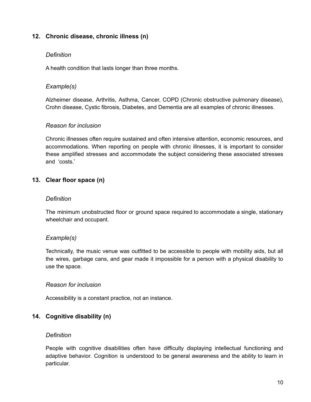### <span id="page-10-0"></span>**12. Chronic disease, chronic illness (n)**

### *Definition*

A health condition that lasts longer than three months.

### *Example(s)*

Alzheimer disease, Arthritis, Asthma, Cancer, COPD (Chronic obstructive pulmonary disease), Crohn disease, Cystic fibrosis, Diabetes, and Dementia are all examples of chronic illnesses.

### *Reason for inclusion*

Chronic illnesses often require sustained and often intensive attention, economic resources, and accommodations. When reporting on people with chronic illnesses, it is important to consider these amplified stresses and accommodate the subject considering these associated stresses and 'costs.'

### <span id="page-10-1"></span>**13. Clear floor space (n)**

#### *Definition*

The minimum unobstructed floor or ground space required to accommodate a single, stationary wheelchair and occupant.

### *Example(s)*

Technically, the music venue was outfitted to be accessible to people with mobility aids, but all the wires, garbage cans, and gear made it impossible for a person with a physical disability to use the space.

#### *Reason for inclusion*

Accessibility is a constant practice, not an instance.

### <span id="page-10-2"></span>**14. Cognitive disability (n)**

### *Definition*

People with cognitive disabilities often have difficulty displaying intellectual functioning and adaptive behavior. Cognition is understood to be general awareness and the ability to learn in particular.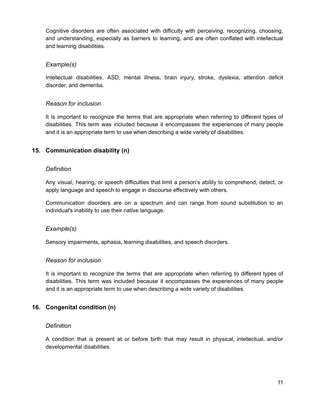Cognitive disorders are often associated with difficulty with perceiving, recognizing, choosing, and understanding, especially as barriers to learning, and are often conflated with intellectual and learning disabilities.

### *Example(s)*

Intellectual disabilities, ASD, mental illness, brain injury, stroke, dyslexia, attention deficit disorder, and dementia.

# *Reason for inclusion*

It is important to recognize the terms that are appropriate when referring to different types of disabilities. This term was included because it encompasses the experiences of many people and it is an appropriate term to use when describing a wide variety of disabilities.

# <span id="page-11-0"></span>**15. Communication disability (n)**

### *Definition*

Any visual, hearing, or speech difficulties that limit a person's ability to comprehend, detect, or apply language and speech to engage in discourse effectively with others.

Communication disorders are on a spectrum and can range from sound substitution to an individual's inability to use their native language.

### *Example(s)*

Sensory impairments, aphasia, learning disabilities, and speech disorders.

### *Reason for inclusion*

It is important to recognize the terms that are appropriate when referring to different types of disabilities. This term was included because it encompasses the experiences of many people and it is an appropriate term to use when describing a wide variety of disabilities.

# <span id="page-11-1"></span>**16. Congenital condition (n)**

### *Definition*

A condition that is present at or before birth that may result in physical, intellectual, and/or developmental disabilities.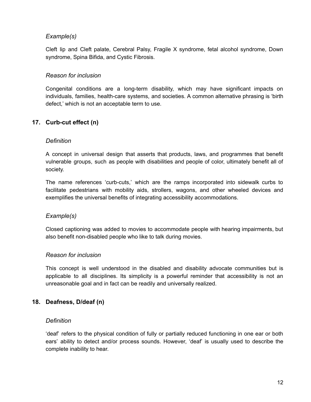Cleft lip and Cleft palate, Cerebral Palsy, Fragile X syndrome, fetal alcohol syndrome, Down syndrome, Spina Bifida, and Cystic Fibrosis.

### *Reason for inclusion*

Congenital conditions are a long-term disability, which may have significant impacts on individuals, families, health-care systems, and societies. A common alternative phrasing is 'birth defect,' which is not an acceptable term to use.

# <span id="page-12-0"></span>**17. Curb-cut effect (n)**

### *Definition*

A concept in universal design that asserts that products, laws, and programmes that benefit vulnerable groups, such as people with disabilities and people of color, ultimately benefit all of society.

The name references 'curb-cuts,' which are the ramps incorporated into sidewalk curbs to facilitate pedestrians with mobility aids, strollers, wagons, and other wheeled devices and exemplifies the universal benefits of integrating accessibility accommodations.

### *Example(s)*

Closed captioning was added to movies to accommodate people with hearing impairments, but also benefit non-disabled people who like to talk during movies.

#### *Reason for inclusion*

This concept is well understood in the disabled and disability advocate communities but is applicable to all disciplines. Its simplicity is a powerful reminder that accessibility is not an unreasonable goal and in fact can be readily and universally realized.

#### <span id="page-12-1"></span>**18. Deafness, D/deaf (n)**

#### *Definition*

'deaf' refers to the physical condition of fully or partially reduced functioning in one ear or both ears' ability to detect and/or process sounds. However, 'deaf' is usually used to describe the complete inability to hear.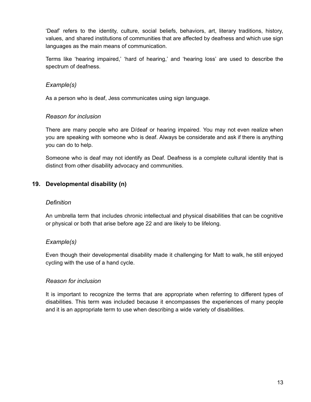'Deaf' refers to the identity, culture, social beliefs, behaviors, art, literary traditions, history, values, and shared institutions of communities that are affected by deafness and which use sign languages as the main means of communication.

Terms like 'hearing impaired,' 'hard of hearing,' and 'hearing loss' are used to describe the spectrum of deafness.

# *Example(s)*

As a person who is deaf, Jess communicates using sign language.

### *Reason for inclusion*

There are many people who are D/deaf or hearing impaired. You may not even realize when you are speaking with someone who is deaf. Always be considerate and ask if there is anything you can do to help.

Someone who is deaf may not identify as Deaf. Deafness is a complete cultural identity that is distinct from other disability advocacy and communities.

# <span id="page-13-0"></span>**19. Developmental disability (n)**

#### *Definition*

An umbrella term that includes chronic intellectual and physical disabilities that can be cognitive or physical or both that arise before age 22 and are likely to be lifelong.

### *Example(s)*

Even though their developmental disability made it challenging for Matt to walk, he still enjoyed cycling with the use of a hand cycle.

### *Reason for inclusion*

It is important to recognize the terms that are appropriate when referring to different types of disabilities. This term was included because it encompasses the experiences of many people and it is an appropriate term to use when describing a wide variety of disabilities.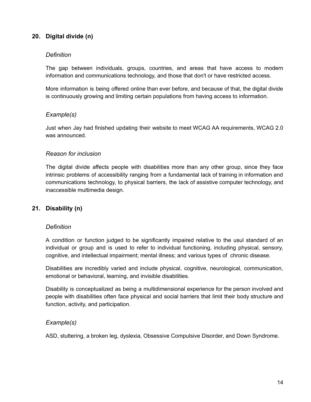# <span id="page-14-0"></span>**20. Digital divide (n)**

#### *Definition*

The gap between individuals, groups, countries, and areas that have access to modern information and communications technology, and those that don't or have restricted access.

More information is being offered online than ever before, and because of that, the digital divide is continuously growing and limiting certain populations from having access to information.

### *Example(s)*

Just when Jay had finished updating their website to meet WCAG AA requirements, WCAG 2.0 was announced.

#### *Reason for inclusion*

The digital divide affects people with disabilities more than any other group, since they face intrinsic problems of accessibility ranging from a fundamental lack of training in information and communications technology, to physical barriers, the lack of assistive computer technology, and inaccessible multimedia design.

### <span id="page-14-1"></span>**21. Disability (n)**

#### *Definition*

A condition or function judged to be significantly impaired relative to the usul standard of an individual or group and is used to refer to individual functioning, including physical, sensory, cognitive, and intellectual impairment; mental illness; and various types of chronic disease.

Disabilities are incredibly varied and include physical, cognitive, neurological, communication, emotional or behavioral, learning, and invisible disabilities.

Disability is conceptualized as being a multidimensional experience for the person involved and people with disabilities often face physical and social barriers that limit their body structure and function, activity, and participation.

#### *Example(s)*

ASD, stuttering, a broken leg, dyslexia, Obsessive Compulsive Disorder, and Down Syndrome.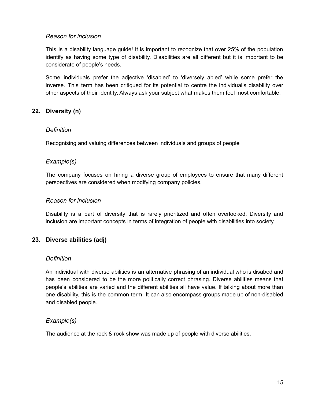# *Reason for inclusion*

This is a disability language guide! It is important to recognize that over 25% of the population identify as having some type of disability. Disabilities are all different but it is important to be considerate of people's needs.

Some individuals prefer the adjective 'disabled' to 'diversely abled' while some prefer the inverse. This term has been critiqued for its potential to centre the individual's disability over other aspects of their identity. Always ask your subject what makes them feel most comfortable.

# <span id="page-15-0"></span>**22. Diversity (n)**

### *Definition*

Recognising and valuing differences between individuals and groups of people

### *Example(s)*

The company focuses on hiring a diverse group of employees to ensure that many different perspectives are considered when modifying company policies.

### *Reason for inclusion*

Disability is a part of diversity that is rarely prioritized and often overlooked. Diversity and inclusion are important concepts in terms of integration of people with disabilities into society.

### <span id="page-15-1"></span>**23. Diverse abilities (adj)**

#### *Definition*

An individual with diverse abilities is an alternative phrasing of an individual who is disabed and has been considered to be the more politically correct phrasing. Diverse abilities means that people's abilities are varied and the different abilities all have value. If talking about more than one disability, this is the common term. It can also encompass groups made up of non-disabled and disabled people.

### *Example(s)*

The audience at the rock & rock show was made up of people with diverse abilities.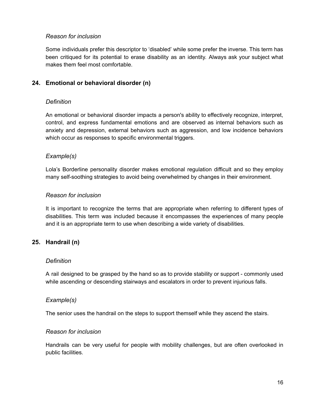### *Reason for inclusion*

Some individuals prefer this descriptor to 'disabled' while some prefer the inverse. This term has been critiqued for its potential to erase disability as an identity. Always ask your subject what makes them feel most comfortable.

# <span id="page-16-0"></span>**24. Emotional or behavioral disorder (n)**

### *Definition*

An emotional or behavioral disorder impacts a person's ability to effectively recognize, interpret, control, and express fundamental emotions and are observed as internal behaviors such as anxiety and depression, external behaviors such as aggression, and low incidence behaviors which occur as responses to specific environmental triggers.

### *Example(s)*

Lola's Borderline personality disorder makes emotional regulation difficult and so they employ many self-soothing strategies to avoid being overwhelmed by changes in their environment.

### *Reason for inclusion*

It is important to recognize the terms that are appropriate when referring to different types of disabilities. This term was included because it encompasses the experiences of many people and it is an appropriate term to use when describing a wide variety of disabilities.

### <span id="page-16-1"></span>**25. Handrail (n)**

#### *Definition*

A rail designed to be grasped by the hand so as to provide stability or support - commonly used while ascending or descending stairways and escalators in order to prevent injurious falls.

#### *Example(s)*

The senior uses the handrail on the steps to support themself while they ascend the stairs.

#### *Reason for inclusion*

Handrails can be very useful for people with mobility challenges, but are often overlooked in public facilities.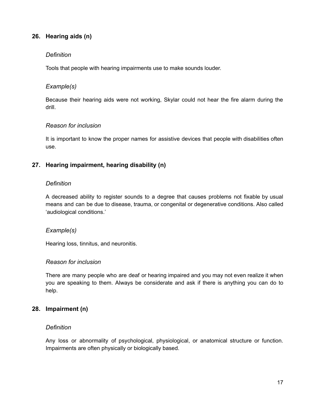# <span id="page-17-0"></span>**26. Hearing aids (n)**

### *Definition*

Tools that people with hearing impairments use to make sounds louder.

### *Example(s)*

Because their hearing aids were not working, Skylar could not hear the fire alarm during the drill.

### *Reason for inclusion*

It is important to know the proper names for assistive devices that people with disabilities often use.

### <span id="page-17-1"></span>**27. Hearing impairment, hearing disability (n)**

### *Definition*

A decreased ability to register sounds to a degree that causes problems not fixable by usual means and can be due to disease, trauma, or congenital or degenerative conditions. Also called 'audiological conditions.'

#### *Example(s)*

Hearing loss, tinnitus, and neuronitis.

#### *Reason for inclusion*

There are many people who are deaf or hearing impaired and you may not even realize it when you are speaking to them. Always be considerate and ask if there is anything you can do to help.

### <span id="page-17-2"></span>**28. Impairment (n)**

#### *Definition*

Any loss or abnormality of psychological, physiological, or anatomical structure or function. Impairments are often physically or biologically based.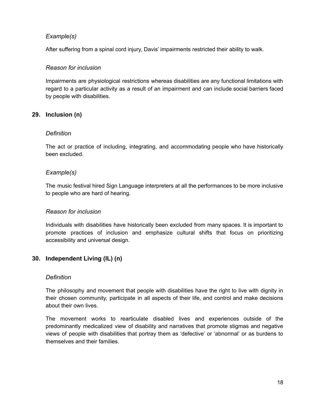After suffering from a spinal cord injury, Davis' impairments restricted their ability to walk.

### *Reason for inclusion*

Impairments are physiological restrictions whereas disabilities are any functional limitations with regard to a particular activity as a result of an impairment and can include social barriers faced by people with disabilities.

# <span id="page-18-0"></span>**29. Inclusion (n)**

### *Definition*

The act or practice of including, integrating, and accommodating people who have historically been excluded.

# *Example(s)*

The music festival hired Sign Language interpreters at all the performances to be more inclusive to people who are hard of hearing.

### *Reason for inclusion*

Individuals with disabilities have historically been excluded from many spaces. It is important to promote practices of inclusion and emphasize cultural shifts that focus on prioritizing accessibility and universal design.

### <span id="page-18-1"></span>**30. Independent Living (IL) (n)**

#### *Definition*

The philosophy and movement that people with disabilities have the right to live with dignity in their chosen community, participate in all aspects of their life, and control and make decisions about their own lives.

The movement works to rearticulate disabled lives and experiences outside of the predominantly medicalized view of disability and narratives that promote stigmas and negative views of people with disabilities that portray them as 'defective' or 'abnormal' or as burdens to themselves and their families.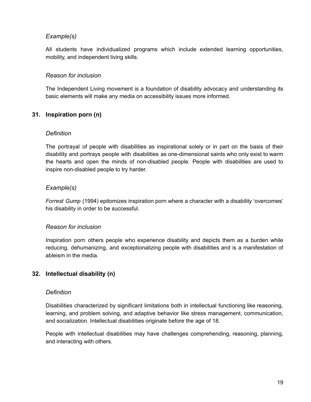All students have individualized programs which include extended learning opportunities, mobility, and independent living skills.

### *Reason for inclusion*

The Independent Living movement is a foundation of disability advocacy and understanding its basic elements will make any media on accessibility issues more informed.

# <span id="page-19-0"></span>**31. Inspiration porn (n)**

#### *Definition*

The portrayal of people with disabilities as inspirational solely or in part on the basis of their disability and portrays people with disabilities as one-dimensional saints who only exist to warm the hearts and open the minds of non-disabled people. People with disabilities are used to inspire non-disabled people to try harder.

### *Example(s)*

*Forrest Gump* (1994) epitomizes inspiration porn where a character with a disability 'overcomes' his disability in order to be successful.

### *Reason for inclusion*

Inspiration porn others people who experience disability and depicts them as a burden while reducing, dehumanizing, and exceptionalizing people with disabilities and is a manifestation of ableism in the media.

### <span id="page-19-1"></span>**32. Intellectual disability (n)**

#### *Definition*

Disabilities characterized by significant limitations both in intellectual functioning like reasoning, learning, and problem solving, and adaptive behavior like stress management, communication, and socialization. Intellectual disabilities originate before the age of 18.

People with intellectual disabilities may have challenges comprehending, reasoning, planning, and interacting with others.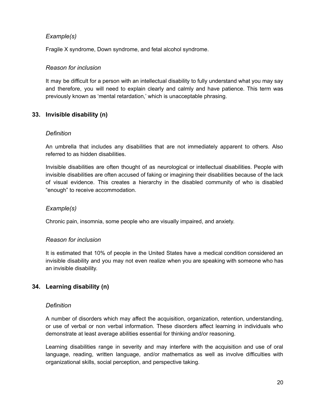Fragile X syndrome, Down syndrome, and fetal alcohol syndrome.

### *Reason for inclusion*

It may be difficult for a person with an intellectual disability to fully understand what you may say and therefore, you will need to explain clearly and calmly and have patience. This term was previously known as 'mental retardation,' which is unacceptable phrasing.

# <span id="page-20-0"></span>**33. Invisible disability (n)**

### *Definition*

An umbrella that includes any disabilities that are not immediately apparent to others. Also referred to as hidden disabilities.

Invisible disabilities are often thought of as neurological or intellectual disabilities. People with invisible disabilities are often accused of faking or imagining their disabilities because of the lack of visual evidence. This creates a hierarchy in the disabled community of who is disabled "enough" to receive accommodation.

### *Example(s)*

Chronic pain, insomnia, some people who are visually impaired, and anxiety.

### *Reason for inclusion*

It is estimated that 10% of people in the United States have a medical condition considered an invisible disability and you may not even realize when you are speaking with someone who has an invisible disability.

### <span id="page-20-1"></span>**34. Learning disability (n)**

#### *Definition*

A number of disorders which may affect the acquisition, organization, retention, understanding, or use of verbal or non verbal information. These disorders affect learning in individuals who demonstrate at least average abilities essential for thinking and/or reasoning.

Learning disabilities range in severity and may interfere with the acquisition and use of oral language, reading, written language, and/or mathematics as well as involve difficulties with organizational skills, social perception, and perspective taking.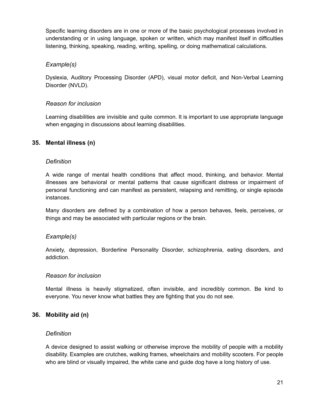Specific learning disorders are in one or more of the basic psychological processes involved in understanding or in using language, spoken or written, which may manifest itself in difficulties listening, thinking, speaking, reading, writing, spelling, or doing mathematical calculations.

# *Example(s)*

Dyslexia, Auditory Processing Disorder (APD), visual motor deficit, and Non-Verbal Learning Disorder (NVLD).

# *Reason for inclusion*

Learning disabilities are invisible and quite common. It is important to use appropriate language when engaging in discussions about learning disabilities.

# <span id="page-21-0"></span>**35. Mental illness (n)**

### *Definition*

A wide range of mental health conditions that affect mood, thinking, and behavior. Mental illnesses are behavioral or mental patterns that cause significant distress or impairment of personal functioning and can manifest as persistent, relapsing and remitting, or single episode instances.

Many disorders are defined by a combination of how a person behaves, feels, perceives, or things and may be associated with particular regions or the brain.

# *Example(s)*

Anxiety, depression, Borderline Personality Disorder, schizophrenia, eating disorders, and addiction.

### *Reason for inclusion*

Mental illness is heavily stigmatized, often invisible, and incredibly common. Be kind to everyone. You never know what battles they are fighting that you do not see.

# <span id="page-21-1"></span>**36. Mobility aid (n)**

### *Definition*

A device designed to assist walking or otherwise improve the mobility of people with a mobility disability. Examples are crutches, walking frames, wheelchairs and mobility scooters. For people who are blind or visually impaired, the white cane and guide dog have a long history of use.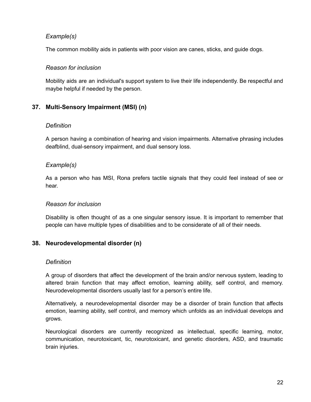The common mobility aids in patients with poor vision are canes, sticks, and guide dogs.

### *Reason for inclusion*

Mobility aids are an individual's support system to live their life independently. Be respectful and maybe helpful if needed by the person.

# <span id="page-22-0"></span>**37. Multi-Sensory Impairment (MSI) (n)**

### *Definition*

A person having a combination of hearing and vision impairments. Alternative phrasing includes deafblind, dual-sensory impairment, and dual sensory loss.

### *Example(s)*

As a person who has MSI, Rona prefers tactile signals that they could feel instead of see or hear.

### *Reason for inclusion*

Disability is often thought of as a one singular sensory issue. It is important to remember that people can have multiple types of disabilities and to be considerate of all of their needs.

### <span id="page-22-1"></span>**38. Neurodevelopmental disorder (n)**

#### *Definition*

A group of disorders that affect the development of the brain and/or nervous system, leading to altered brain function that may affect emotion, learning ability, self control, and memory. Neurodevelopmental disorders usually last for a person's entire life.

Alternatively, a neurodevelopmental disorder may be a disorder of brain function that affects emotion, learning ability, self control, and memory which unfolds as an individual develops and grows.

Neurological disorders are currently recognized as intellectual, specific learning, motor, communication, neurotoxicant, tic, neurotoxicant, and genetic disorders, ASD, and traumatic brain injuries.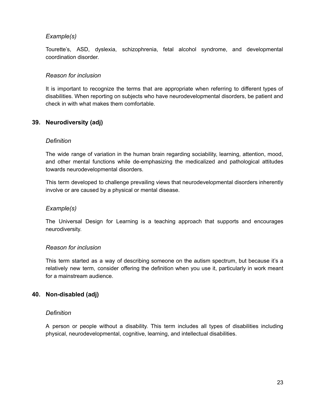Tourette's, ASD, dyslexia, schizophrenia, fetal alcohol syndrome, and developmental coordination disorder.

### *Reason for inclusion*

It is important to recognize the terms that are appropriate when referring to different types of disabilities. When reporting on subjects who have neurodevelopmental disorders, be patient and check in with what makes them comfortable.

# <span id="page-23-0"></span>**39. Neurodiversity (adj)**

### *Definition*

The wide range of variation in the human brain regarding sociability, learning, attention, mood, and other mental functions while de-emphasizing the medicalized and pathological attitudes towards neurodevelopmental disorders.

This term developed to challenge prevailing views that neurodevelopmental disorders inherently involve or are caused by a physical or mental disease.

### *Example(s)*

The Universal Design for Learning is a teaching approach that supports and encourages neurodiversity.

#### *Reason for inclusion*

This term started as a way of describing someone on the autism spectrum, but because it's a relatively new term, consider offering the definition when you use it, particularly in work meant for a mainstream audience.

### <span id="page-23-1"></span>**40. Non-disabled (adj)**

### *Definition*

A person or people without a disability. This term includes all types of disabilities including physical, neurodevelopmental, cognitive, learning, and intellectual disabilities.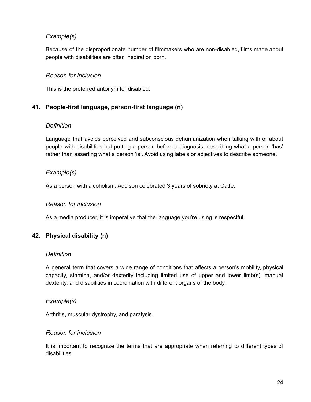Because of the disproportionate number of filmmakers who are non-disabled, films made about people with disabilities are often inspiration porn.

### *Reason for inclusion*

This is the preferred antonym for disabled.

# <span id="page-24-0"></span>**41. People-first language, person-first language (n)**

### *Definition*

Language that avoids perceived and subconscious dehumanization when talking with or about people with disabilities but putting a person before a diagnosis, describing what a person 'has' rather than asserting what a person 'is'. Avoid using labels or adjectives to describe someone.

# *Example(s)*

As a person with alcoholism, Addison celebrated 3 years of sobriety at Catfe.

### *Reason for inclusion*

As a media producer, it is imperative that the language you're using is respectful.

# <span id="page-24-1"></span>**42. Physical disability (n)**

#### *Definition*

A general term that covers a wide range of conditions that affects a person's mobility, physical capacity, stamina, and/or dexterity including limited use of upper and lower limb(s), manual dexterity, and disabilities in coordination with different organs of the body.

### *Example(s)*

Arthritis, muscular dystrophy, and paralysis.

#### *Reason for inclusion*

It is important to recognize the terms that are appropriate when referring to different types of disabilities.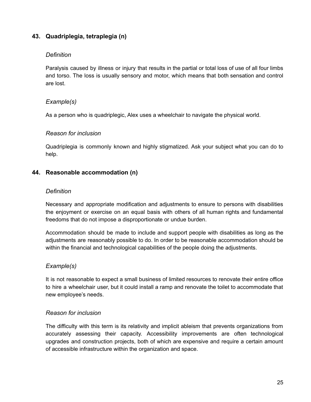# <span id="page-25-0"></span>**43. Quadriplegia, tetraplegia (n)**

### *Definition*

Paralysis caused by illness or injury that results in the partial or total loss of use of all four limbs and torso. The loss is usually sensory and motor, which means that both sensation and control are lost.

# *Example(s)*

As a person who is quadriplegic, Alex uses a wheelchair to navigate the physical world.

### *Reason for inclusion*

Quadriplegia is commonly known and highly stigmatized. Ask your subject what you can do to help.

# <span id="page-25-1"></span>**44. Reasonable accommodation (n)**

### *Definition*

Necessary and appropriate modification and adjustments to ensure to persons with disabilities the enjoyment or exercise on an equal basis with others of all human rights and fundamental freedoms that do not impose a disproportionate or undue burden.

Accommodation should be made to include and support people with disabilities as long as the adjustments are reasonably possible to do. In order to be reasonable accommodation should be within the financial and technological capabilities of the people doing the adjustments.

### *Example(s)*

It is not reasonable to expect a small business of limited resources to renovate their entire office to hire a wheelchair user, but it could install a ramp and renovate the toilet to accommodate that new employee's needs.

### *Reason for inclusion*

The difficulty with this term is its relativity and implicit ableism that prevents organizations from accurately assessing their capacity. Accessibility improvements are often technological upgrades and construction projects, both of which are expensive and require a certain amount of accessible infrastructure within the organization and space.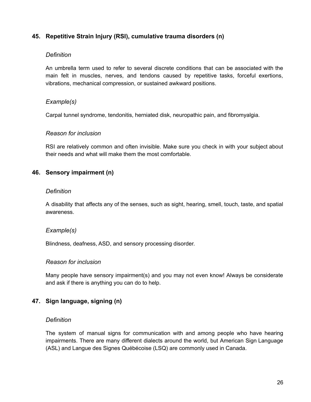# <span id="page-26-0"></span>**45. Repetitive Strain Injury (RSI), cumulative trauma disorders (n)**

### *Definition*

An umbrella term used to refer to several discrete conditions that can be associated with the main felt in muscles, nerves, and tendons caused by repetitive tasks, forceful exertions, vibrations, mechanical compression, or sustained awkward positions.

### *Example(s)*

Carpal tunnel syndrome, tendonitis, herniated disk, neuropathic pain, and fibromyalgia.

#### *Reason for inclusion*

RSI are relatively common and often invisible. Make sure you check in with your subject about their needs and what will make them the most comfortable.

### <span id="page-26-1"></span>**46. Sensory impairment (n)**

#### *Definition*

A disability that affects any of the senses, such as sight, hearing, smell, touch, taste, and spatial awareness.

#### *Example(s)*

Blindness, deafness, ASD, and sensory processing disorder.

#### *Reason for inclusion*

Many people have sensory impairment(s) and you may not even know! Always be considerate and ask if there is anything you can do to help.

#### <span id="page-26-2"></span>**47. Sign language, signing (n)**

#### *Definition*

The system of manual signs for communication with and among people who have hearing impairments. There are many different dialects around the world, but American Sign Language (ASL) and Langue des Signes Québécoise (LSQ) are commonly used in Canada.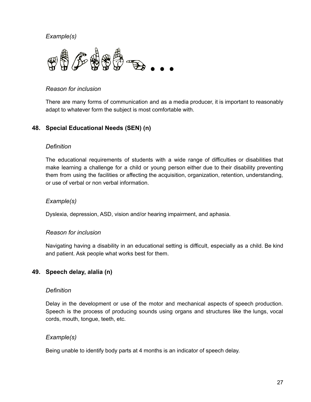

# *Reason for inclusion*

There are many forms of communication and as a media producer, it is important to reasonably adapt to whatever form the subject is most comfortable with.

# <span id="page-27-0"></span>**48. Special Educational Needs (SEN) (n)**

### *Definition*

The educational requirements of students with a wide range of difficulties or disabilities that make learning a challenge for a child or young person either due to their disability preventing them from using the facilities or affecting the acquisition, organization, retention, understanding, or use of verbal or non verbal information.

### *Example(s)*

Dyslexia, depression, ASD, vision and/or hearing impairment, and aphasia.

#### *Reason for inclusion*

Navigating having a disability in an educational setting is difficult, especially as a child. Be kind and patient. Ask people what works best for them.

# <span id="page-27-1"></span>**49. Speech delay, alalia (n)**

#### *Definition*

Delay in the development or use of the motor and mechanical aspects of speech production. Speech is the process of producing sounds using organs and structures like the lungs, vocal cords, mouth, tongue, teeth, etc.

### *Example(s)*

Being unable to identify body parts at 4 months is an indicator of speech delay.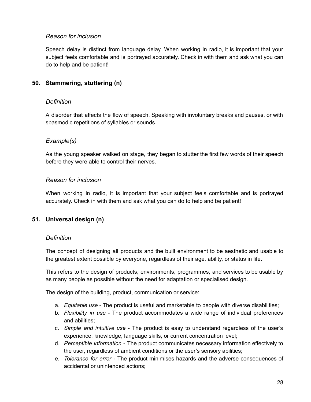# *Reason for inclusion*

Speech delay is distinct from language delay. When working in radio, it is important that your subject feels comfortable and is portrayed accurately. Check in with them and ask what you can do to help and be patient!

# <span id="page-28-0"></span>**50. Stammering, stuttering (n)**

### *Definition*

A disorder that affects the flow of speech. Speaking with involuntary breaks and pauses, or with spasmodic repetitions of syllables or sounds.

### *Example(s)*

As the young speaker walked on stage, they began to stutter the first few words of their speech before they were able to control their nerves.

### *Reason for inclusion*

When working in radio, it is important that your subject feels comfortable and is portrayed accurately. Check in with them and ask what you can do to help and be patient!

### <span id="page-28-1"></span>**51. Universal design (n)**

#### *Definition*

The concept of designing all products and the built environment to be aesthetic and usable to the greatest extent possible by everyone, regardless of their age, ability, or status in life.

This refers to the design of products, environments, programmes, and services to be usable by as many people as possible without the need for adaptation or specialised design.

The design of the building, product, communication or service:

- a. *Equitable use* The product is useful and marketable to people with diverse disabilities;
- b. *Flexibility in use* The product accommodates a wide range of individual preferences and abilities;
- c. *Simple and intuitive use* The product is easy to understand regardless of the user's experience, knowledge, language skills, or current concentration level;
- d. *Perceptible information* The product communicates necessary information effectively to the user, regardless of ambient conditions or the user's sensory abilities;
- e. *Tolerance for error* The product minimises hazards and the adverse consequences of accidental or unintended actions;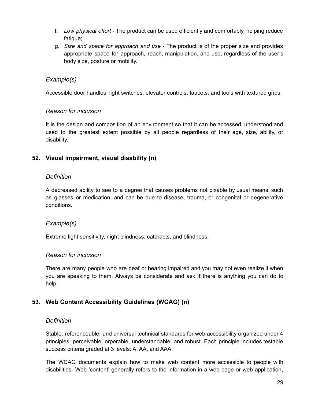- f. *Low physical effort* The product can be used efficiently and comfortably, helping reduce fatigue;
- g. *Size and space for approach and use* The product is of the proper size and provides appropriate space for approach, reach, manipulation, and use, regardless of the user's body size, posture or mobility.

Accessible door handles, light switches, elevator controls, faucets, and tools with textured grips.

### *Reason for inclusion*

It is the design and composition of an environment so that it can be accessed, understood and used to the greatest extent possible by all people regardless of their age, size, ability, or disability.

# <span id="page-29-0"></span>**52. Visual impairment, visual disability (n)**

### *Definition*

A decreased ability to see to a degree that causes problems not pixable by usual means, such as glasses or medication, and can be due to disease, trauma, or congenital or degenerative conditions.

### *Example(s)*

Extreme light sensitivity, night blindness, cataracts, and blindness.

### *Reason for inclusion*

There are many people who are deaf or hearing impaired and you may not even realize it when you are speaking to them. Always be considerate and ask if there is anything you can do to help.

### <span id="page-29-1"></span>**53. Web Content Accessibility Guidelines (WCAG) (n)**

#### *Definition*

Stable, referenceable, and universal technical standards for web accessibility organized under 4 principles: perceivable, orperable, understandable, and robust. Each principle includes testable success criteria graded at 3 levels: A, AA, and AAA.

The WCAG documents explain how to make web content more accessible to people with disabilities. Web 'content' generally refers to the information in a web page or web application,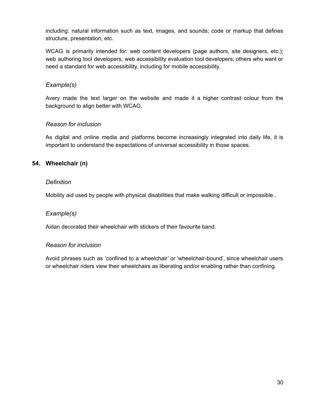including: natural information such as text, images, and sounds; code or markup that defines structure, presentation, etc.

WCAG is primarily intended for: web content developers (page authors, site designers, etc.); web authoring tool developers; web accessibility evaluation tool developers; others who want or need a standard for web accessibility, including for mobile accessibility.

# *Example(s)*

Avery made the text larger on the website and made it a higher contrast colour from the background to align better with WCAG.

# *Reason for inclusion*

As digital and online media and platforms become increasingly integrated into daily life, it is important to understand the expectations of universal accessibility in those spaces.

# <span id="page-30-0"></span>**54. Wheelchair (n)**

### *Definition*

Mobility aid used by people with physical disabilities that make walking difficult or impossible..

### *Example(s)*

Aidan decorated their wheelchair with stickers of their favourite band.

### *Reason for inclusion*

Avoid phrases such as 'confined to a wheelchair' or 'wheelchair-bound', since wheelchair users or wheelchair riders view their wheelchairs as liberating and/or enabling rather than confining.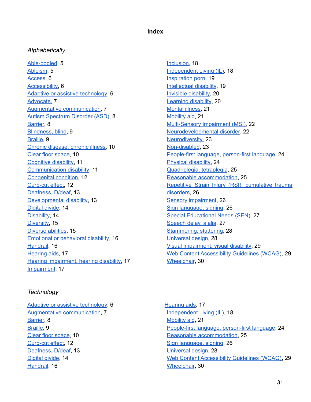### **Index**

#### <span id="page-31-1"></span><span id="page-31-0"></span>*Alphabetically*

[Able-bodied,](#page-5-1) 5 [Ableism](#page-5-2), 5 [Access](#page-6-0), 6 [Accessibility,](#page-6-1) 6 Adaptive or assistive [technology](#page-6-2), 6 [Advocate,](#page-7-0) 7 Augmentative [communication](#page-7-1), 7 Autism [Spectrum](#page-8-0) Disorder (ASD), 8 [Barrier,](#page-8-1) 8 [Blindness,](#page-9-0) blind, 9 [Braille,](#page-9-1) 9 Chronic [disease,](#page-10-0) chronic illness, 10 Clear floor [space](#page-10-1), 10 [Cognitive](#page-10-2) disability, 11 [Communication](#page-11-0) disability, 11 [Congenital](#page-11-1) condition, 12 [Curb-cut](#page-12-0) effect, 12 [Deafness,](#page-12-1) D/deaf, 13 [Developmental](#page-13-0) disability, 13 [Digital](#page-14-0) divide, 14 [Disability,](#page-14-1) 14 [Diversity](#page-15-0), 15 [Diverse](#page-15-1) abilities, 15 Emotional or [behavioral](#page-16-0) disability, 16 [Handrail,](#page-16-1) 16 [Hearing](#page-17-0) aids, 17 Hearing [impairment,](#page-17-1) hearing disability, 17 [Impairment,](#page-17-2) 17

# [Inclusion,](#page-18-0) 18 [Independent](#page-18-1) Living (IL), 18 [Inspiration](#page-19-0) porn, 19 [Intellectual](#page-19-1) disability, 19 Invisible [disability](#page-20-0), 20 [Learning](#page-20-1) disability, 20 [Mental](#page-21-0) illness, 21 [Mobility](#page-21-1) aid, 21 [Multi-Sensory](#page-22-0) Impairment (MSI), 22 [Neurodevelopmental](#page-22-1) disorder, 22 [Neurodiversity,](#page-23-0) 23 [Non-disabled](#page-23-1), 23 [People-first](#page-24-0) language, person-first language, 24 Physical [disability,](#page-24-1) 24 [Quadriplegia,](#page-25-0) tetraplegia, 25 Reasonable [accommodation,](#page-25-1) 25 Repetitive Strain Injury (RSI), [cumulative](#page-26-0) trauma [disorders,](#page-26-0) 26 Sensory [impairment](#page-26-1), 26 Sign [language,](#page-26-2) signing, 26 Special [Educational](#page-27-0) Needs (SEN), 27 [Speech](#page-27-1) delay, alalia, 27 [Stammering,](#page-28-0) stuttering, 28 [Universal](#page-28-1) design, 28 Visual [impairment,](#page-29-0) visual disability, 29 Web Content [Accessibility](#page-29-1) Guidelines (WCAG), 29 [Wheelchair](#page-30-0), 30

#### <span id="page-31-2"></span>*Technology*

Adaptive or assistive [technology](#page-6-2), 6 Augmentative [communication](#page-7-1), 7 [Barrier,](#page-8-1) 8 [Braille,](#page-9-1) 9 Clear floor [space](#page-10-1), 10 [Curb-cut](#page-12-0) effect, 12 [Deafness,](#page-12-1) D/deaf, 13 [Digital](#page-14-0) divide, 14 [Handrail,](#page-16-1) 16

[Hearing](#page-17-0) aids, 17 [Independent](#page-18-1) Living (IL), 18 [Mobility](#page-21-1) aid, 21 [People-first](#page-24-0) language, person-first language, 24 Reasonable [accommodation,](#page-25-1) 25 Sign [language,](#page-26-2) signing, 26 [Universal](#page-28-1) design, 28 Web Content [Accessibility](#page-29-1) Guidelines (WCAG), 29 [Wheelchair](#page-30-0), 30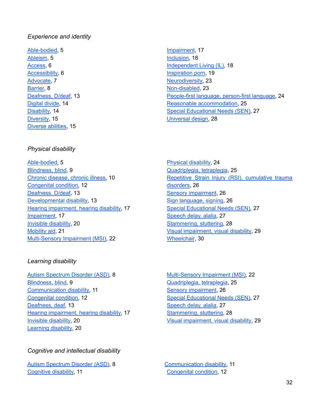### <span id="page-32-0"></span>*Experience and identity*

[Able-bodied,](#page-5-1) 5 [Ableism](#page-5-2), 5 [Access](#page-6-0), 6 [Accessibility,](#page-6-1) 6 [Advocate,](#page-7-0) 7 [Barrier,](#page-8-1) 8 [Deafness,](#page-12-1) D/deaf, 13 [Digital](#page-14-0) divide, 14 [Disability,](#page-14-1) 14 [Diversity](#page-15-0), 15 [Diverse](#page-15-1) abilities, 15

### <span id="page-32-1"></span>*Physical disability*

[Able-bodied,](#page-5-1) 5 [Blindness,](#page-9-0) blind, 9 Chronic [disease,](#page-10-0) chronic illness, 10 [Congenital](#page-11-1) condition, 12 [Deafness,](#page-12-1) D/deaf, 13 [Developmental](#page-13-0) disability, 13 Hearing [impairment,](#page-17-1) hearing disability, 17 [Impairment,](#page-17-2) 17 Invisible [disability,](#page-20-0) 20 [Mobility](#page-21-1) aid, 21 [Multi-Sensory](#page-22-0) Impairment (MSI), 22

### <span id="page-32-2"></span>*Learning disability*

Autism [Spectrum](#page-8-0) Disorder (ASD), 8 [Blindness,](#page-9-0) blind, 9 [Communication](#page-11-0) disability, 11 [Congenital](#page-11-1) condition, 12 [Deafness,](#page-12-1) deaf, 13 Hearing [impairment,](#page-17-1) hearing disability, 17 Invisible [disability,](#page-20-0) 20 [Learning](#page-20-1) disability, 20

### <span id="page-32-3"></span>*Cognitive and intellectual disability*

Autism [Spectrum](#page-8-0) Disorder (ASD), 8 [Cognitive](#page-10-2) disability, 11

- [Impairment](#page-17-2), 17 [Inclusion,](#page-18-0) 18 [Independent](#page-18-1) Living (IL), 18 [Inspiration](#page-19-0) porn, 19 [Neurodiversity,](#page-23-0) 23 [Non-disabled](#page-23-1), 23 [People-first](#page-24-0) language, person-first language, 24 Reasonable [accommodation,](#page-25-1) 25 Special [Educational](#page-27-0) Needs (SEN), 27 [Universal](#page-28-1) design, 28
- Physical [disability,](#page-24-1) 24 [Quadriplegia,](#page-25-0) tetraplegia, 25 Repetitive Strain Injury (RSI), [cumulative](#page-26-0) trauma [disorders,](#page-26-0) 26 Sensory [impairment](#page-26-1), 26 Sign [language,](#page-26-2) signing, 26 Special [Educational](#page-27-0) Needs (SEN), 27 [Speech](#page-27-1) delay, alalia, 27 [Stammering,](#page-28-0) stuttering, 28 Visual [impairment,](#page-29-0) visual disability, 29 [Wheelchair](#page-30-0), 30
- [Multi-Sensory](#page-22-0) Impairment (MSI), 22 [Quadriplegia,](#page-25-0) tetraplegia, 25 Sensory [impairment](#page-26-1), 26 Special [Educational](#page-27-0) Needs (SEN), 27 [Speech](#page-27-1) delay, alalia, 27 [Stammering,](#page-28-0) stuttering, 28 Visual [impairment,](#page-29-0) visual disability, 29

[Communication](#page-11-0) disability, 11 [Congenital](#page-11-1) condition, 12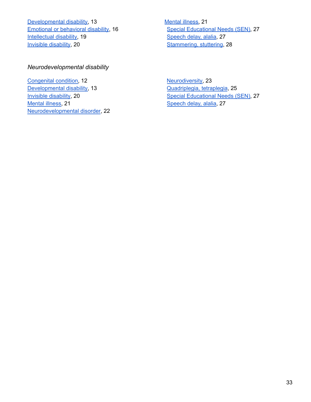[Developmental](#page-13-0) disability, 13 Emotional or [behavioral](#page-16-0) disability, 16 [Intellectual](#page-19-1) disability, 19 Invisible [disability,](#page-20-0) 20

[Mental](#page-21-0) illness, 21 Special [Educational](#page-27-0) Needs (SEN), 27 [Speech](#page-27-1) delay, alalia, 27 [Stammering,](#page-28-0) stuttering, 28

# <span id="page-33-0"></span>*Neurodevelopmental disability*

[Congenital](#page-11-1) condition, 12 [Developmental](#page-13-0) disability, 13 Invisible [disability,](#page-20-0) 20 [Mental](#page-21-0) illness, 21 [Neurodevelopmental](#page-22-1) disorder, 22 [Neurodiversity,](#page-23-0) 23 [Quadriplegia,](#page-25-0) tetraplegia, 25 Special [Educational](#page-27-0) Needs (SEN), 27 [Speech](#page-27-1) delay, alalia, 27